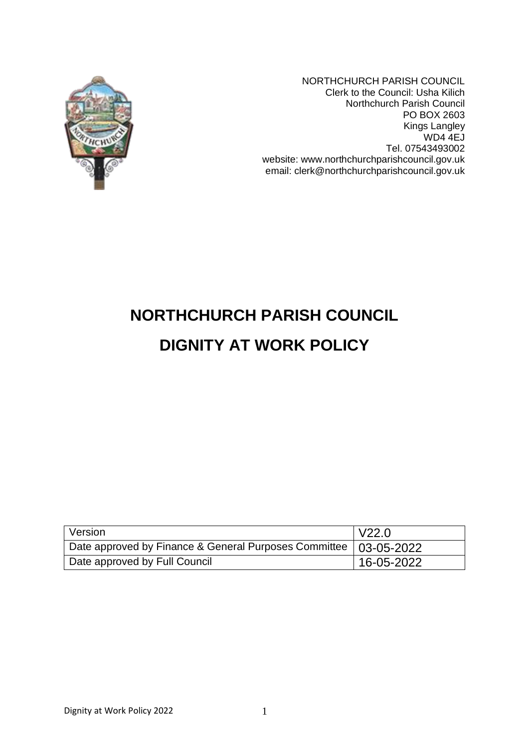

NORTHCHURCH PARISH COUNCIL Clerk to the Council: Usha Kilich Northchurch Parish Council PO BOX 2603 Kings Langley WD4 4EJ Tel. 07543493002 website: www.northchurchparishcouncil.gov.uk email: clerk@northchurchparishcouncil.gov.uk

# **NORTHCHURCH PARISH COUNCIL**

# **DIGNITY AT WORK POLICY**

| Version                                                            | V22.0      |
|--------------------------------------------------------------------|------------|
| Date approved by Finance & General Purposes Committee   03-05-2022 |            |
| Date approved by Full Council                                      | 16-05-2022 |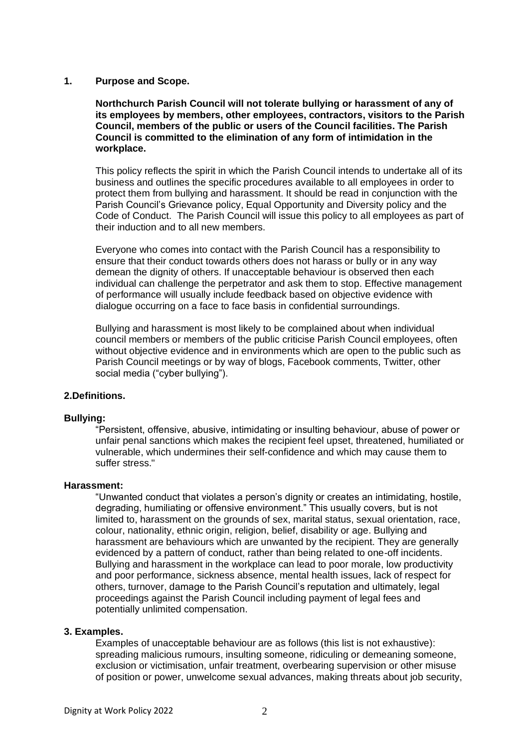# **1. Purpose and Scope.**

**Northchurch Parish Council will not tolerate bullying or harassment of any of its employees by members, other employees, contractors, visitors to the Parish Council, members of the public or users of the Council facilities. The Parish Council is committed to the elimination of any form of intimidation in the workplace.** 

This policy reflects the spirit in which the Parish Council intends to undertake all of its business and outlines the specific procedures available to all employees in order to protect them from bullying and harassment. It should be read in conjunction with the Parish Council's Grievance policy, Equal Opportunity and Diversity policy and the Code of Conduct. The Parish Council will issue this policy to all employees as part of their induction and to all new members.

Everyone who comes into contact with the Parish Council has a responsibility to ensure that their conduct towards others does not harass or bully or in any way demean the dignity of others. If unacceptable behaviour is observed then each individual can challenge the perpetrator and ask them to stop. Effective management of performance will usually include feedback based on objective evidence with dialogue occurring on a face to face basis in confidential surroundings.

Bullying and harassment is most likely to be complained about when individual council members or members of the public criticise Parish Council employees, often without objective evidence and in environments which are open to the public such as Parish Council meetings or by way of blogs, Facebook comments, Twitter, other social media ("cyber bullying").

# **2.Definitions.**

#### **Bullying:**

"Persistent, offensive, abusive, intimidating or insulting behaviour, abuse of power or unfair penal sanctions which makes the recipient feel upset, threatened, humiliated or vulnerable, which undermines their self-confidence and which may cause them to suffer stress."

#### **Harassment:**

"Unwanted conduct that violates a person's dignity or creates an intimidating, hostile, degrading, humiliating or offensive environment." This usually covers, but is not limited to, harassment on the grounds of sex, marital status, sexual orientation, race, colour, nationality, ethnic origin, religion, belief, disability or age. Bullying and harassment are behaviours which are unwanted by the recipient. They are generally evidenced by a pattern of conduct, rather than being related to one-off incidents. Bullying and harassment in the workplace can lead to poor morale, low productivity and poor performance, sickness absence, mental health issues, lack of respect for others, turnover, damage to the Parish Council's reputation and ultimately, legal proceedings against the Parish Council including payment of legal fees and potentially unlimited compensation.

#### **3. Examples.**

Examples of unacceptable behaviour are as follows (this list is not exhaustive): spreading malicious rumours, insulting someone, ridiculing or demeaning someone, exclusion or victimisation, unfair treatment, overbearing supervision or other misuse of position or power, unwelcome sexual advances, making threats about job security,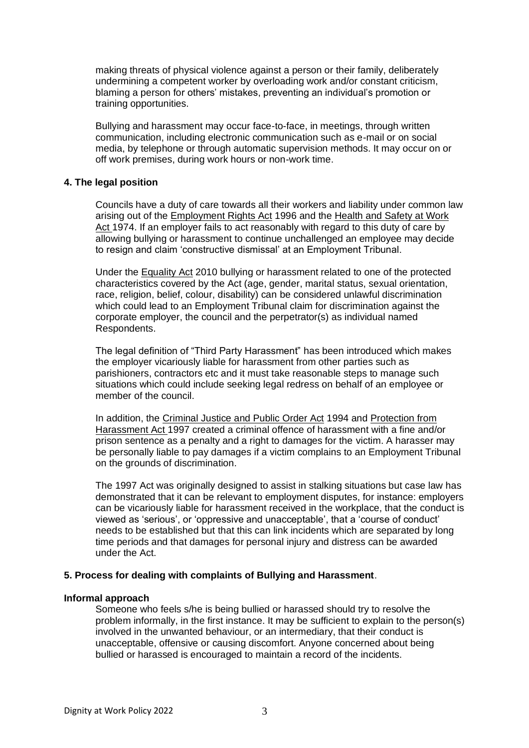making threats of physical violence against a person or their family, deliberately undermining a competent worker by overloading work and/or constant criticism, blaming a person for others' mistakes, preventing an individual's promotion or training opportunities.

Bullying and harassment may occur face-to-face, in meetings, through written communication, including electronic communication such as e-mail or on social media, by telephone or through automatic supervision methods. It may occur on or off work premises, during work hours or non-work time.

# **4. The legal position**

Councils have a duty of care towards all their workers and liability under common law arising out of the Employment Rights Act 1996 and the Health and Safety at Work Act 1974. If an employer fails to act reasonably with regard to this duty of care by allowing bullying or harassment to continue unchallenged an employee may decide to resign and claim 'constructive dismissal' at an Employment Tribunal.

Under the Equality Act 2010 bullying or harassment related to one of the protected characteristics covered by the Act (age, gender, marital status, sexual orientation, race, religion, belief, colour, disability) can be considered unlawful discrimination which could lead to an Employment Tribunal claim for discrimination against the corporate employer, the council and the perpetrator(s) as individual named Respondents.

The legal definition of "Third Party Harassment" has been introduced which makes the employer vicariously liable for harassment from other parties such as parishioners, contractors etc and it must take reasonable steps to manage such situations which could include seeking legal redress on behalf of an employee or member of the council.

In addition, the Criminal Justice and Public Order Act 1994 and Protection from Harassment Act 1997 created a criminal offence of harassment with a fine and/or prison sentence as a penalty and a right to damages for the victim. A harasser may be personally liable to pay damages if a victim complains to an Employment Tribunal on the grounds of discrimination.

The 1997 Act was originally designed to assist in stalking situations but case law has demonstrated that it can be relevant to employment disputes, for instance: employers can be vicariously liable for harassment received in the workplace, that the conduct is viewed as 'serious', or 'oppressive and unacceptable', that a 'course of conduct' needs to be established but that this can link incidents which are separated by long time periods and that damages for personal injury and distress can be awarded under the Act.

#### **5. Process for dealing with complaints of Bullying and Harassment**.

#### **Informal approach**

Someone who feels s/he is being bullied or harassed should try to resolve the problem informally, in the first instance. It may be sufficient to explain to the person(s) involved in the unwanted behaviour, or an intermediary, that their conduct is unacceptable, offensive or causing discomfort. Anyone concerned about being bullied or harassed is encouraged to maintain a record of the incidents.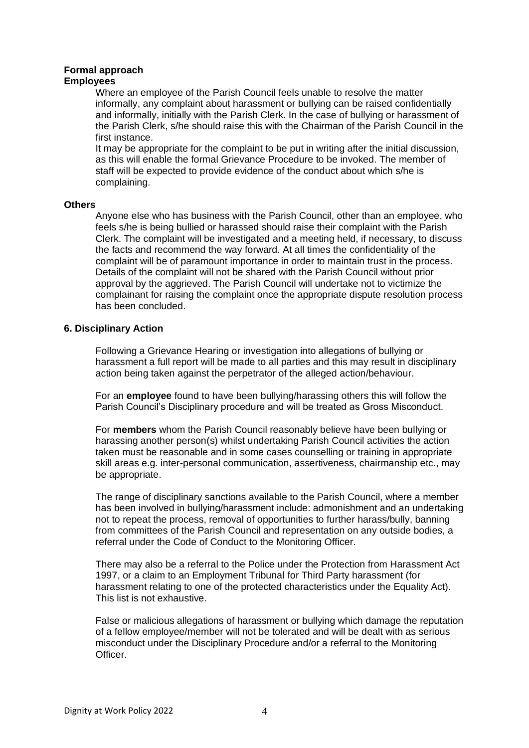# **Formal approach**

# **Employees**

Where an employee of the Parish Council feels unable to resolve the matter informally, any complaint about harassment or bullying can be raised confidentially and informally, initially with the Parish Clerk. In the case of bullying or harassment of the Parish Clerk, s/he should raise this with the Chairman of the Parish Council in the first instance.

It may be appropriate for the complaint to be put in writing after the initial discussion, as this will enable the formal Grievance Procedure to be invoked. The member of staff will be expected to provide evidence of the conduct about which s/he is complaining.

# **Others**

Anyone else who has business with the Parish Council, other than an employee, who feels s/he is being bullied or harassed should raise their complaint with the Parish Clerk. The complaint will be investigated and a meeting held, if necessary, to discuss the facts and recommend the way forward. At all times the confidentiality of the complaint will be of paramount importance in order to maintain trust in the process. Details of the complaint will not be shared with the Parish Council without prior approval by the aggrieved. The Parish Council will undertake not to victimize the complainant for raising the complaint once the appropriate dispute resolution process has been concluded.

# **6. Disciplinary Action**

Following a Grievance Hearing or investigation into allegations of bullying or harassment a full report will be made to all parties and this may result in disciplinary action being taken against the perpetrator of the alleged action/behaviour.

For an **employee** found to have been bullying/harassing others this will follow the Parish Council's Disciplinary procedure and will be treated as Gross Misconduct.

For **members** whom the Parish Council reasonably believe have been bullying or harassing another person(s) whilst undertaking Parish Council activities the action taken must be reasonable and in some cases counselling or training in appropriate skill areas e.g. inter-personal communication, assertiveness, chairmanship etc., may be appropriate.

The range of disciplinary sanctions available to the Parish Council, where a member has been involved in bullying/harassment include: admonishment and an undertaking not to repeat the process, removal of opportunities to further harass/bully, banning from committees of the Parish Council and representation on any outside bodies, a referral under the Code of Conduct to the Monitoring Officer.

There may also be a referral to the Police under the Protection from Harassment Act 1997, or a claim to an Employment Tribunal for Third Party harassment (for harassment relating to one of the protected characteristics under the Equality Act). This list is not exhaustive.

False or malicious allegations of harassment or bullying which damage the reputation of a fellow employee/member will not be tolerated and will be dealt with as serious misconduct under the Disciplinary Procedure and/or a referral to the Monitoring Officer.